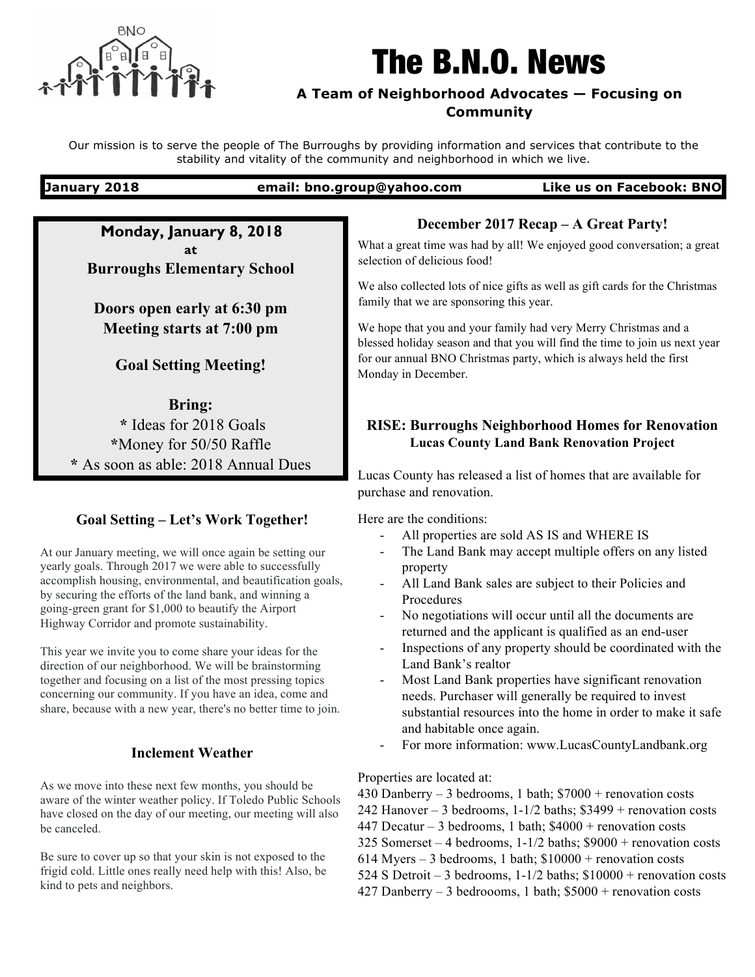

# The B.N.O. News

# **A Team of Neighborhood Advocates — Focusing on Community**

Our mission is to serve the people of The Burroughs by providing information and services that contribute to the stability and vitality of the community and neighborhood in which we live.

**January 2018 email: bno.group@yahoo.com Like us on Facebook: BNO**

**Monday, January 8, 2018 at Burroughs Elementary School**

**Doors open early at 6:30 pm Meeting starts at 7:00 pm**

# **Goal Setting Meeting!**

**Bring: \*** Ideas for 2018 Goals **\***Money for 50/50 Raffle **\*** As soon as able: 2018 Annual Dues

# **Goal Setting – Let's Work Together!**

At our January meeting, we will once again be setting our yearly goals. Through 2017 we were able to successfully accomplish housing, environmental, and beautification goals, by securing the efforts of the land bank, and winning a going-green grant for \$1,000 to beautify the Airport Highway Corridor and promote sustainability.

This year we invite you to come share your ideas for the direction of our neighborhood. We will be brainstorming together and focusing on a list of the most pressing topics concerning our community. If you have an idea, come and share, because with a new year, there's no better time to join.

# **Inclement Weather**

As we move into these next few months, you should be aware of the winter weather policy. If Toledo Public Schools have closed on the day of our meeting, our meeting will also be canceled.

Be sure to cover up so that your skin is not exposed to the frigid cold. Little ones really need help with this! Also, be kind to pets and neighbors.

# **December 2017 Recap – A Great Party!**

What a great time was had by all! We enjoyed good conversation; a great selection of delicious food!

We also collected lots of nice gifts as well as gift cards for the Christmas family that we are sponsoring this year.

We hope that you and your family had very Merry Christmas and a blessed holiday season and that you will find the time to join us next year for our annual BNO Christmas party, which is always held the first Monday in December.

# **RISE: Burroughs Neighborhood Homes for Renovation Lucas County Land Bank Renovation Project**

Lucas County has released a list of homes that are available for purchase and renovation.

Here are the conditions:

- All properties are sold AS IS and WHERE IS
- The Land Bank may accept multiple offers on any listed property
- All Land Bank sales are subject to their Policies and Procedures
- No negotiations will occur until all the documents are returned and the applicant is qualified as an end-user
- Inspections of any property should be coordinated with the Land Bank's realtor
- Most Land Bank properties have significant renovation needs. Purchaser will generally be required to invest substantial resources into the home in order to make it safe and habitable once again.
- For more information: www.LucasCountyLandbank.org

### Properties are located at:

- 430 Danberry 3 bedrooms, 1 bath;  $$7000 +$  renovation costs
- 242 Hanover 3 bedrooms,  $1-1/2$  baths; \$3499 + renovation costs
- 447 Decatur 3 bedrooms, 1 bath;  $$4000 +$  renovation costs
- 325 Somerset 4 bedrooms, 1-1/2 baths; \$9000 + renovation costs
- 614 Myers 3 bedrooms, 1 bath;  $$10000 +$  renovation costs
- 524 S Detroit 3 bedrooms, 1-1/2 baths; \$10000 + renovation costs
- 427 Danberry 3 bedrooms, 1 bath;  $$5000 +$  renovation costs